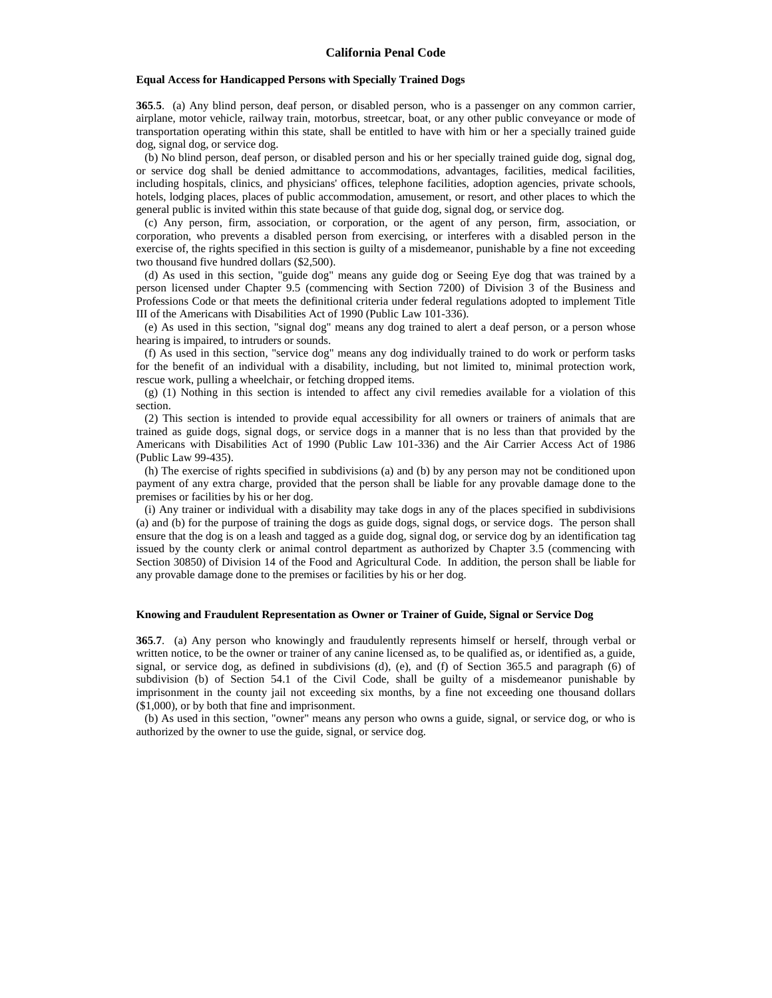## **Equal Access for Handicapped Persons with Specially Trained Dogs**

**365**.**5**. (a) Any blind person, deaf person, or disabled person, who is a passenger on any common carrier, airplane, motor vehicle, railway train, motorbus, streetcar, boat, or any other public conveyance or mode of transportation operating within this state, shall be entitled to have with him or her a specially trained guide dog, signal dog, or service dog.

 (b) No blind person, deaf person, or disabled person and his or her specially trained guide dog, signal dog, or service dog shall be denied admittance to accommodations, advantages, facilities, medical facilities, including hospitals, clinics, and physicians' offices, telephone facilities, adoption agencies, private schools, hotels, lodging places, places of public accommodation, amusement, or resort, and other places to which the general public is invited within this state because of that guide dog, signal dog, or service dog.

 (c) Any person, firm, association, or corporation, or the agent of any person, firm, association, or corporation, who prevents a disabled person from exercising, or interferes with a disabled person in the exercise of, the rights specified in this section is guilty of a misdemeanor, punishable by a fine not exceeding two thousand five hundred dollars (\$2,500).

 (d) As used in this section, "guide dog" means any guide dog or Seeing Eye dog that was trained by a person licensed under Chapter 9.5 (commencing with Section 7200) of Division 3 of the Business and Professions Code or that meets the definitional criteria under federal regulations adopted to implement Title III of the Americans with Disabilities Act of 1990 (Public Law 101-336).

 (e) As used in this section, "signal dog" means any dog trained to alert a deaf person, or a person whose hearing is impaired, to intruders or sounds.

 (f) As used in this section, "service dog" means any dog individually trained to do work or perform tasks for the benefit of an individual with a disability, including, but not limited to, minimal protection work, rescue work, pulling a wheelchair, or fetching dropped items.

 (g) (1) Nothing in this section is intended to affect any civil remedies available for a violation of this section.

 (2) This section is intended to provide equal accessibility for all owners or trainers of animals that are trained as guide dogs, signal dogs, or service dogs in a manner that is no less than that provided by the Americans with Disabilities Act of 1990 (Public Law 101-336) and the Air Carrier Access Act of 1986 (Public Law 99-435).

 (h) The exercise of rights specified in subdivisions (a) and (b) by any person may not be conditioned upon payment of any extra charge, provided that the person shall be liable for any provable damage done to the premises or facilities by his or her dog.

 (i) Any trainer or individual with a disability may take dogs in any of the places specified in subdivisions (a) and (b) for the purpose of training the dogs as guide dogs, signal dogs, or service dogs. The person shall ensure that the dog is on a leash and tagged as a guide dog, signal dog, or service dog by an identification tag issued by the county clerk or animal control department as authorized by Chapter 3.5 (commencing with Section 30850) of Division 14 of the Food and Agricultural Code. In addition, the person shall be liable for any provable damage done to the premises or facilities by his or her dog.

## **Knowing and Fraudulent Representation as Owner or Trainer of Guide, Signal or Service Dog**

**365**.**7**. (a) Any person who knowingly and fraudulently represents himself or herself, through verbal or written notice, to be the owner or trainer of any canine licensed as, to be qualified as, or identified as, a guide, signal, or service dog, as defined in subdivisions (d), (e), and (f) of Section 365.5 and paragraph (6) of subdivision (b) of Section 54.1 of the Civil Code, shall be guilty of a misdemeanor punishable by imprisonment in the county jail not exceeding six months, by a fine not exceeding one thousand dollars (\$1,000), or by both that fine and imprisonment.

 (b) As used in this section, "owner" means any person who owns a guide, signal, or service dog, or who is authorized by the owner to use the guide, signal, or service dog.